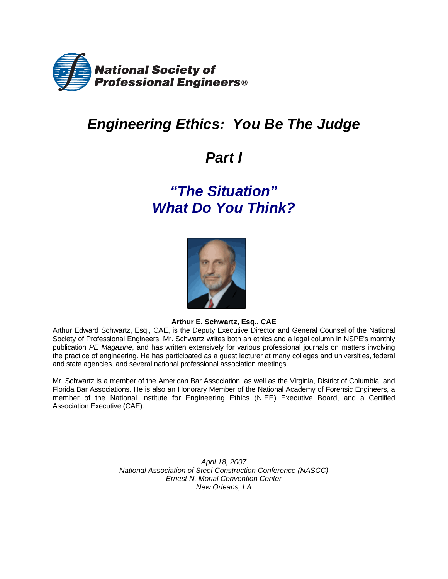

# *Engineering Ethics: You Be The Judge*

# *Part I*

# *"The Situation" What Do You Think?*



#### **Arthur E. Schwartz, Esq., CAE**

Arthur Edward Schwartz, Esq., CAE, is the Deputy Executive Director and General Counsel of the National Society of Professional Engineers. Mr. Schwartz writes both an ethics and a legal column in NSPE's monthly publication *PE Magazine*, and has written extensively for various professional journals on matters involving the practice of engineering. He has participated as a guest lecturer at many colleges and universities, federal and state agencies, and several national professional association meetings.

Mr. Schwartz is a member of the American Bar Association, as well as the Virginia, District of Columbia, and Florida Bar Associations. He is also an Honorary Member of the National Academy of Forensic Engineers, a member of the National Institute for Engineering Ethics (NIEE) Executive Board, and a Certified Association Executive (CAE).

> *April 18, 2007 National Association of Steel Construction Conference (NASCC) Ernest N. Morial Convention Center New Orleans, LA*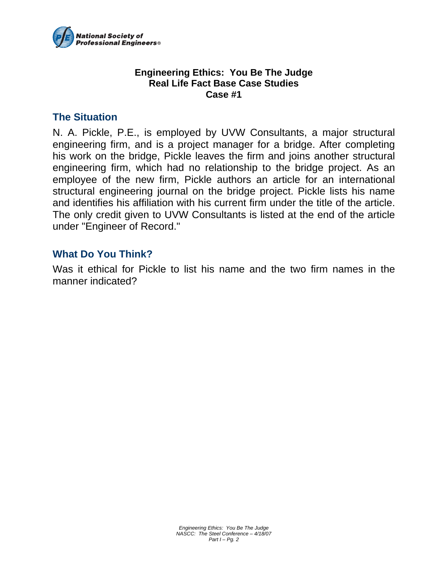

# **The Situation**

N. A. Pickle, P.E., is employed by UVW Consultants, a major structural engineering firm, and is a project manager for a bridge. After completing his work on the bridge, Pickle leaves the firm and joins another structural engineering firm, which had no relationship to the bridge project. As an employee of the new firm, Pickle authors an article for an international structural engineering journal on the bridge project. Pickle lists his name and identifies his affiliation with his current firm under the title of the article. The only credit given to UVW Consultants is listed at the end of the article under "Engineer of Record."

# **What Do You Think?**

Was it ethical for Pickle to list his name and the two firm names in the manner indicated?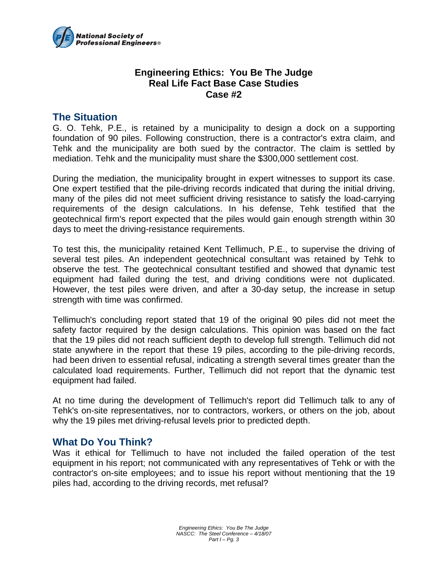

### **The Situation**

G. O. Tehk, P.E., is retained by a municipality to design a dock on a supporting foundation of 90 piles. Following construction, there is a contractor's extra claim, and Tehk and the municipality are both sued by the contractor. The claim is settled by mediation. Tehk and the municipality must share the \$300,000 settlement cost.

During the mediation, the municipality brought in expert witnesses to support its case. One expert testified that the pile-driving records indicated that during the initial driving, many of the piles did not meet sufficient driving resistance to satisfy the load-carrying requirements of the design calculations. In his defense, Tehk testified that the geotechnical firm's report expected that the piles would gain enough strength within 30 days to meet the driving-resistance requirements.

To test this, the municipality retained Kent Tellimuch, P.E., to supervise the driving of several test piles. An independent geotechnical consultant was retained by Tehk to observe the test. The geotechnical consultant testified and showed that dynamic test equipment had failed during the test, and driving conditions were not duplicated. However, the test piles were driven, and after a 30-day setup, the increase in setup strength with time was confirmed.

Tellimuch's concluding report stated that 19 of the original 90 piles did not meet the safety factor required by the design calculations. This opinion was based on the fact that the 19 piles did not reach sufficient depth to develop full strength. Tellimuch did not state anywhere in the report that these 19 piles, according to the pile-driving records, had been driven to essential refusal, indicating a strength several times greater than the calculated load requirements. Further, Tellimuch did not report that the dynamic test equipment had failed.

At no time during the development of Tellimuch's report did Tellimuch talk to any of Tehk's on-site representatives, nor to contractors, workers, or others on the job, about why the 19 piles met driving-refusal levels prior to predicted depth.

### **What Do You Think?**

Was it ethical for Tellimuch to have not included the failed operation of the test equipment in his report; not communicated with any representatives of Tehk or with the contractor's on-site employees; and to issue his report without mentioning that the 19 piles had, according to the driving records, met refusal?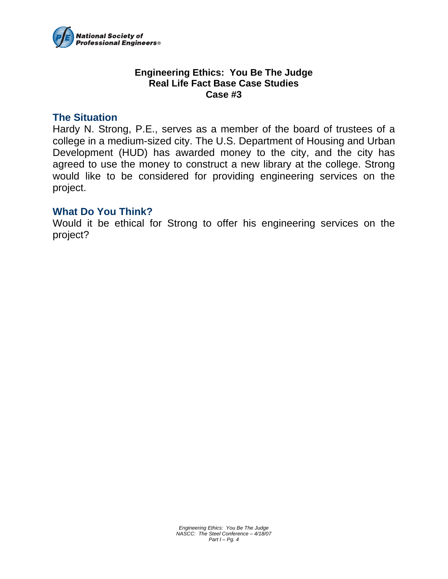

### **The Situation**

Hardy N. Strong, P.E., serves as a member of the board of trustees of a college in a medium-sized city. The U.S. Department of Housing and Urban Development (HUD) has awarded money to the city, and the city has agreed to use the money to construct a new library at the college. Strong would like to be considered for providing engineering services on the project.

### **What Do You Think?**

Would it be ethical for Strong to offer his engineering services on the project?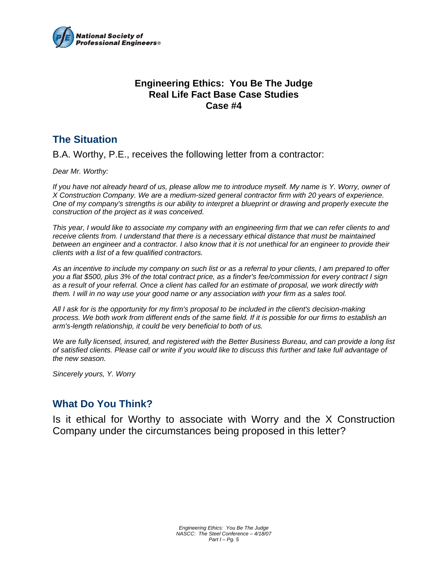

# **The Situation**

B.A. Worthy, P.E., receives the following letter from a contractor:

*Dear Mr. Worthy:* 

*If you have not already heard of us, please allow me to introduce myself. My name is Y. Worry, owner of X Construction Company. We are a medium-sized general contractor firm with 20 years of experience. One of my company's strengths is our ability to interpret a blueprint or drawing and properly execute the construction of the project as it was conceived.* 

*This year, I would like to associate my company with an engineering firm that we can refer clients to and receive clients from. I understand that there is a necessary ethical distance that must be maintained between an engineer and a contractor. I also know that it is not unethical for an engineer to provide their clients with a list of a few qualified contractors.* 

*As an incentive to include my company on such list or as a referral to your clients, I am prepared to offer you a flat \$500, plus 3% of the total contract price, as a finder's fee/commission for every contract I sign as a result of your referral. Once a client has called for an estimate of proposal, we work directly with them. I will in no way use your good name or any association with your firm as a sales tool.* 

*All I ask for is the opportunity for my firm's proposal to be included in the client's decision-making process. We both work from different ends of the same field. If it is possible for our firms to establish an arm's-length relationship, it could be very beneficial to both of us.* 

*We are fully licensed, insured, and registered with the Better Business Bureau, and can provide a long list of satisfied clients. Please call or write if you would like to discuss this further and take full advantage of the new season.* 

*Sincerely yours, Y. Worry*

### **What Do You Think?**

Is it ethical for Worthy to associate with Worry and the X Construction Company under the circumstances being proposed in this letter?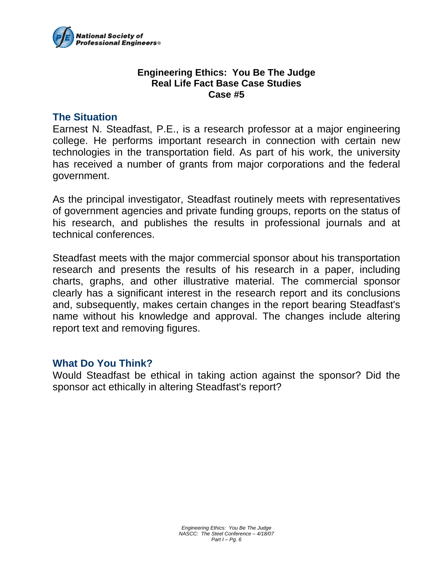

## **The Situation**

Earnest N. Steadfast, P.E., is a research professor at a major engineering college. He performs important research in connection with certain new technologies in the transportation field. As part of his work, the university has received a number of grants from major corporations and the federal government.

As the principal investigator, Steadfast routinely meets with representatives of government agencies and private funding groups, reports on the status of his research, and publishes the results in professional journals and at technical conferences.

Steadfast meets with the major commercial sponsor about his transportation research and presents the results of his research in a paper, including charts, graphs, and other illustrative material. The commercial sponsor clearly has a significant interest in the research report and its conclusions and, subsequently, makes certain changes in the report bearing Steadfast's name without his knowledge and approval. The changes include altering report text and removing figures.

### **What Do You Think?**

Would Steadfast be ethical in taking action against the sponsor? Did the sponsor act ethically in altering Steadfast's report?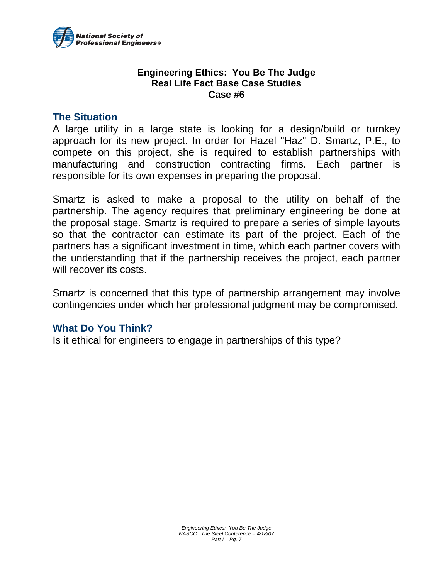

# **The Situation**

A large utility in a large state is looking for a design/build or turnkey approach for its new project. In order for Hazel "Haz" D. Smartz, P.E., to compete on this project, she is required to establish partnerships with manufacturing and construction contracting firms. Each partner is responsible for its own expenses in preparing the proposal.

Smartz is asked to make a proposal to the utility on behalf of the partnership. The agency requires that preliminary engineering be done at the proposal stage. Smartz is required to prepare a series of simple layouts so that the contractor can estimate its part of the project. Each of the partners has a significant investment in time, which each partner covers with the understanding that if the partnership receives the project, each partner will recover its costs.

Smartz is concerned that this type of partnership arrangement may involve contingencies under which her professional judgment may be compromised.

### **What Do You Think?**

Is it ethical for engineers to engage in partnerships of this type?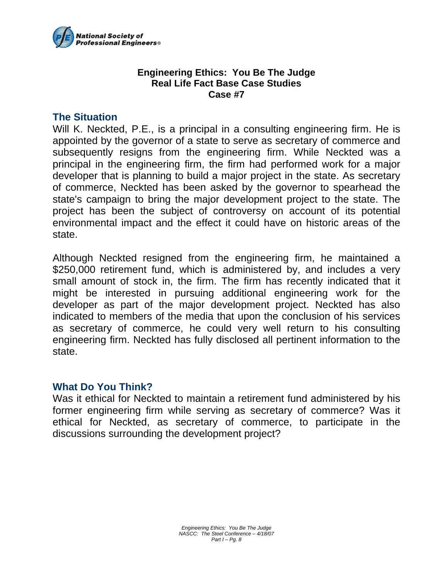

# **The Situation**

Will K. Neckted, P.E., is a principal in a consulting engineering firm. He is appointed by the governor of a state to serve as secretary of commerce and subsequently resigns from the engineering firm. While Neckted was a principal in the engineering firm, the firm had performed work for a major developer that is planning to build a major project in the state. As secretary of commerce, Neckted has been asked by the governor to spearhead the state's campaign to bring the major development project to the state. The project has been the subject of controversy on account of its potential environmental impact and the effect it could have on historic areas of the state.

Although Neckted resigned from the engineering firm, he maintained a \$250,000 retirement fund, which is administered by, and includes a very small amount of stock in, the firm. The firm has recently indicated that it might be interested in pursuing additional engineering work for the developer as part of the major development project. Neckted has also indicated to members of the media that upon the conclusion of his services as secretary of commerce, he could very well return to his consulting engineering firm. Neckted has fully disclosed all pertinent information to the state.

### **What Do You Think?**

Was it ethical for Neckted to maintain a retirement fund administered by his former engineering firm while serving as secretary of commerce? Was it ethical for Neckted, as secretary of commerce, to participate in the discussions surrounding the development project?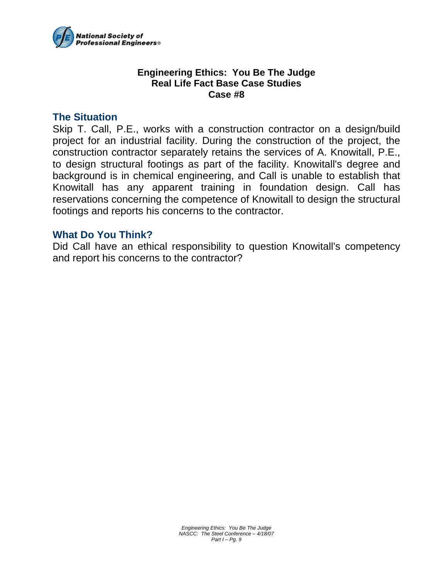

## **The Situation**

Skip T. Call, P.E., works with a construction contractor on a design/build project for an industrial facility. During the construction of the project, the construction contractor separately retains the services of A. Knowitall, P.E., to design structural footings as part of the facility. Knowitall's degree and background is in chemical engineering, and Call is unable to establish that Knowitall has any apparent training in foundation design. Call has reservations concerning the competence of Knowitall to design the structural footings and reports his concerns to the contractor.

### **What Do You Think?**

Did Call have an ethical responsibility to question Knowitall's competency and report his concerns to the contractor?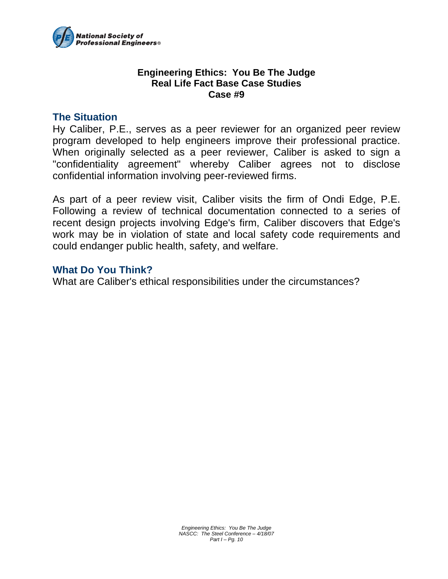

# **The Situation**

Hy Caliber, P.E., serves as a peer reviewer for an organized peer review program developed to help engineers improve their professional practice. When originally selected as a peer reviewer, Caliber is asked to sign a "confidentiality agreement" whereby Caliber agrees not to disclose confidential information involving peer-reviewed firms.

As part of a peer review visit, Caliber visits the firm of Ondi Edge, P.E. Following a review of technical documentation connected to a series of recent design projects involving Edge's firm, Caliber discovers that Edge's work may be in violation of state and local safety code requirements and could endanger public health, safety, and welfare.

# **What Do You Think?**

What are Caliber's ethical responsibilities under the circumstances?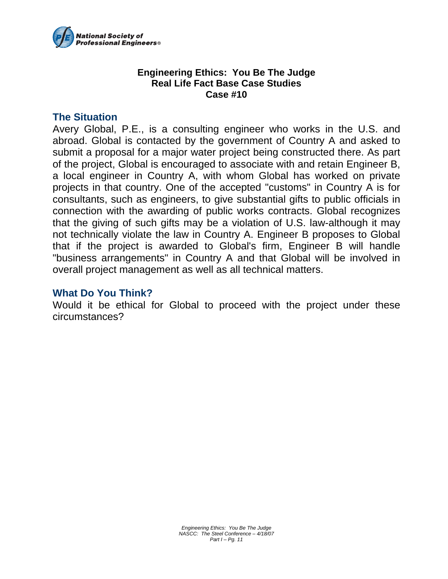

# **The Situation**

Avery Global, P.E., is a consulting engineer who works in the U.S. and abroad. Global is contacted by the government of Country A and asked to submit a proposal for a major water project being constructed there. As part of the project, Global is encouraged to associate with and retain Engineer B, a local engineer in Country A, with whom Global has worked on private projects in that country. One of the accepted "customs" in Country A is for consultants, such as engineers, to give substantial gifts to public officials in connection with the awarding of public works contracts. Global recognizes that the giving of such gifts may be a violation of U.S. law-although it may not technically violate the law in Country A. Engineer B proposes to Global that if the project is awarded to Global's firm, Engineer B will handle "business arrangements" in Country A and that Global will be involved in overall project management as well as all technical matters.

## **What Do You Think?**

Would it be ethical for Global to proceed with the project under these circumstances?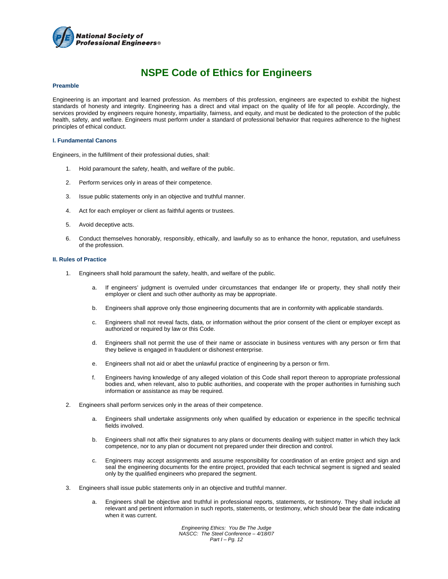

# **NSPE Code of Ethics for Engineers**

#### **Preamble**

Engineering is an important and learned profession. As members of this profession, engineers are expected to exhibit the highest standards of honesty and integrity. Engineering has a direct and vital impact on the quality of life for all people. Accordingly, the services provided by engineers require honesty, impartiality, fairness, and equity, and must be dedicated to the protection of the public health, safety, and welfare. Engineers must perform under a standard of professional behavior that requires adherence to the highest principles of ethical conduct.

#### **I. Fundamental Canons**

Engineers, in the fulfillment of their professional duties, shall:

- 1. Hold paramount the safety, health, and welfare of the public.
- 2. Perform services only in areas of their competence.
- 3. Issue public statements only in an objective and truthful manner.
- 4. Act for each employer or client as faithful agents or trustees.
- 5. Avoid deceptive acts.
- 6. Conduct themselves honorably, responsibly, ethically, and lawfully so as to enhance the honor, reputation, and usefulness of the profession.

#### **II. Rules of Practice**

- 1. Engineers shall hold paramount the safety, health, and welfare of the public.
	- If engineers' judgment is overruled under circumstances that endanger life or property, they shall notify their employer or client and such other authority as may be appropriate.
	- b. Engineers shall approve only those engineering documents that are in conformity with applicable standards.
	- c. Engineers shall not reveal facts, data, or information without the prior consent of the client or employer except as authorized or required by law or this Code.
	- d. Engineers shall not permit the use of their name or associate in business ventures with any person or firm that they believe is engaged in fraudulent or dishonest enterprise.
	- e. Engineers shall not aid or abet the unlawful practice of engineering by a person or firm.
	- f. Engineers having knowledge of any alleged violation of this Code shall report thereon to appropriate professional bodies and, when relevant, also to public authorities, and cooperate with the proper authorities in furnishing such information or assistance as may be required.
- 2. Engineers shall perform services only in the areas of their competence.
	- a. Engineers shall undertake assignments only when qualified by education or experience in the specific technical fields involved.
	- b. Engineers shall not affix their signatures to any plans or documents dealing with subject matter in which they lack competence, nor to any plan or document not prepared under their direction and control.
	- c. Engineers may accept assignments and assume responsibility for coordination of an entire project and sign and seal the engineering documents for the entire project, provided that each technical segment is signed and sealed only by the qualified engineers who prepared the segment.
- 3. Engineers shall issue public statements only in an objective and truthful manner.
	- a. Engineers shall be objective and truthful in professional reports, statements, or testimony. They shall include all relevant and pertinent information in such reports, statements, or testimony, which should bear the date indicating when it was current.

*Engineering Ethics: You Be The Judge NASCC: The Steel Conference – 4/18/07 Part I – Pg. 12*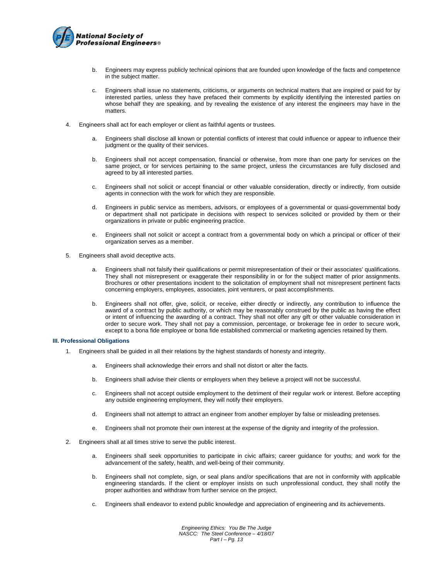

- b. Engineers may express publicly technical opinions that are founded upon knowledge of the facts and competence in the subject matter.
- c. Engineers shall issue no statements, criticisms, or arguments on technical matters that are inspired or paid for by interested parties, unless they have prefaced their comments by explicitly identifying the interested parties on whose behalf they are speaking, and by revealing the existence of any interest the engineers may have in the matters.
- 4. Engineers shall act for each employer or client as faithful agents or trustees.
	- a. Engineers shall disclose all known or potential conflicts of interest that could influence or appear to influence their judgment or the quality of their services.
	- b. Engineers shall not accept compensation, financial or otherwise, from more than one party for services on the same project, or for services pertaining to the same project, unless the circumstances are fully disclosed and agreed to by all interested parties.
	- c. Engineers shall not solicit or accept financial or other valuable consideration, directly or indirectly, from outside agents in connection with the work for which they are responsible.
	- d. Engineers in public service as members, advisors, or employees of a governmental or quasi-governmental body or department shall not participate in decisions with respect to services solicited or provided by them or their organizations in private or public engineering practice.
	- e. Engineers shall not solicit or accept a contract from a governmental body on which a principal or officer of their organization serves as a member.
- 5. Engineers shall avoid deceptive acts.
	- Engineers shall not falsify their qualifications or permit misrepresentation of their or their associates' qualifications. They shall not misrepresent or exaggerate their responsibility in or for the subject matter of prior assignments. Brochures or other presentations incident to the solicitation of employment shall not misrepresent pertinent facts concerning employers, employees, associates, joint venturers, or past accomplishments.
	- b. Engineers shall not offer, give, solicit, or receive, either directly or indirectly, any contribution to influence the award of a contract by public authority, or which may be reasonably construed by the public as having the effect or intent of influencing the awarding of a contract. They shall not offer any gift or other valuable consideration in order to secure work. They shall not pay a commission, percentage, or brokerage fee in order to secure work, except to a bona fide employee or bona fide established commercial or marketing agencies retained by them.

#### **III. Professional Obligations**

- 1. Engineers shall be guided in all their relations by the highest standards of honesty and integrity.
	- a. Engineers shall acknowledge their errors and shall not distort or alter the facts.
	- b. Engineers shall advise their clients or employers when they believe a project will not be successful.
	- c. Engineers shall not accept outside employment to the detriment of their regular work or interest. Before accepting any outside engineering employment, they will notify their employers.
	- d. Engineers shall not attempt to attract an engineer from another employer by false or misleading pretenses.
	- e. Engineers shall not promote their own interest at the expense of the dignity and integrity of the profession.
- 2. Engineers shall at all times strive to serve the public interest.
	- a. Engineers shall seek opportunities to participate in civic affairs; career guidance for youths; and work for the advancement of the safety, health, and well-being of their community.
	- b. Engineers shall not complete, sign, or seal plans and/or specifications that are not in conformity with applicable engineering standards. If the client or employer insists on such unprofessional conduct, they shall notify the proper authorities and withdraw from further service on the project.
	- c. Engineers shall endeavor to extend public knowledge and appreciation of engineering and its achievements.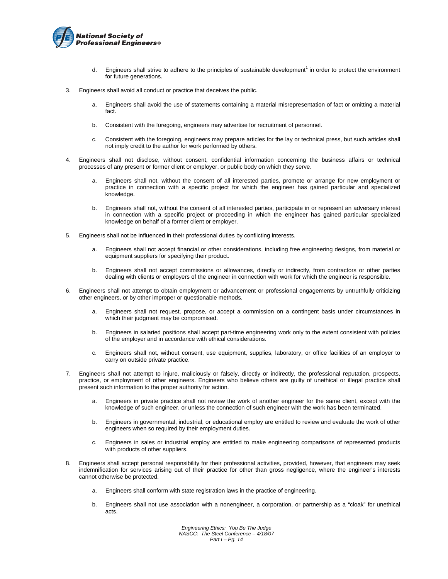

- d. Engineers shall strive to adhere to the principles of sustainable development<sup>1</sup> in order to protect the environment for future generations.
- 3. Engineers shall avoid all conduct or practice that deceives the public.
	- a. Engineers shall avoid the use of statements containing a material misrepresentation of fact or omitting a material fact.
	- b. Consistent with the foregoing, engineers may advertise for recruitment of personnel.
	- c. Consistent with the foregoing, engineers may prepare articles for the lay or technical press, but such articles shall not imply credit to the author for work performed by others.
- 4. Engineers shall not disclose, without consent, confidential information concerning the business affairs or technical processes of any present or former client or employer, or public body on which they serve.
	- a. Engineers shall not, without the consent of all interested parties, promote or arrange for new employment or practice in connection with a specific project for which the engineer has gained particular and specialized knowledge.
	- b. Engineers shall not, without the consent of all interested parties, participate in or represent an adversary interest in connection with a specific project or proceeding in which the engineer has gained particular specialized knowledge on behalf of a former client or employer.
- 5. Engineers shall not be influenced in their professional duties by conflicting interests.
	- a. Engineers shall not accept financial or other considerations, including free engineering designs, from material or equipment suppliers for specifying their product.
	- b. Engineers shall not accept commissions or allowances, directly or indirectly, from contractors or other parties dealing with clients or employers of the engineer in connection with work for which the engineer is responsible.
- 6. Engineers shall not attempt to obtain employment or advancement or professional engagements by untruthfully criticizing other engineers, or by other improper or questionable methods.
	- a. Engineers shall not request, propose, or accept a commission on a contingent basis under circumstances in which their judgment may be compromised.
	- b. Engineers in salaried positions shall accept part-time engineering work only to the extent consistent with policies of the employer and in accordance with ethical considerations.
	- c. Engineers shall not, without consent, use equipment, supplies, laboratory, or office facilities of an employer to carry on outside private practice.
- 7. Engineers shall not attempt to injure, maliciously or falsely, directly or indirectly, the professional reputation, prospects, practice, or employment of other engineers. Engineers who believe others are guilty of unethical or illegal practice shall present such information to the proper authority for action.
	- a. Engineers in private practice shall not review the work of another engineer for the same client, except with the knowledge of such engineer, or unless the connection of such engineer with the work has been terminated.
	- b. Engineers in governmental, industrial, or educational employ are entitled to review and evaluate the work of other engineers when so required by their employment duties.
	- c. Engineers in sales or industrial employ are entitled to make engineering comparisons of represented products with products of other suppliers.
- 8. Engineers shall accept personal responsibility for their professional activities, provided, however, that engineers may seek indemnification for services arising out of their practice for other than gross negligence, where the engineer's interests cannot otherwise be protected.
	- a. Engineers shall conform with state registration laws in the practice of engineering.
	- b. Engineers shall not use association with a nonengineer, a corporation, or partnership as a "cloak" for unethical acts.

*Engineering Ethics: You Be The Judge NASCC: The Steel Conference – 4/18/07 Part I – Pg. 14*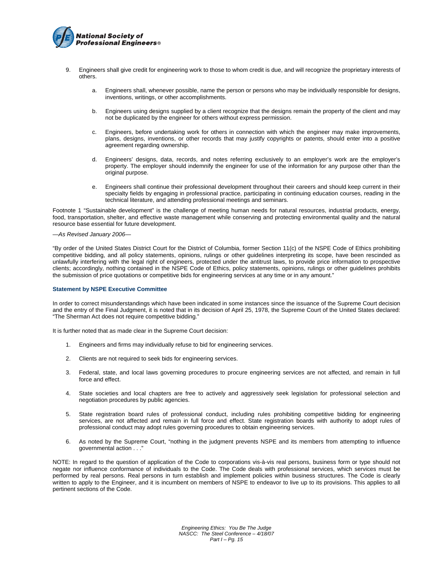

- 9. Engineers shall give credit for engineering work to those to whom credit is due, and will recognize the proprietary interests of others.
	- a. Engineers shall, whenever possible, name the person or persons who may be individually responsible for designs, inventions, writings, or other accomplishments.
	- b. Engineers using designs supplied by a client recognize that the designs remain the property of the client and may not be duplicated by the engineer for others without express permission.
	- c. Engineers, before undertaking work for others in connection with which the engineer may make improvements, plans, designs, inventions, or other records that may justify copyrights or patents, should enter into a positive agreement regarding ownership.
	- d. Engineers' designs, data, records, and notes referring exclusively to an employer's work are the employer's property. The employer should indemnify the engineer for use of the information for any purpose other than the original purpose.
	- e. Engineers shall continue their professional development throughout their careers and should keep current in their specialty fields by engaging in professional practice, participating in continuing education courses, reading in the technical literature, and attending professional meetings and seminars.

Footnote 1 "Sustainable development" is the challenge of meeting human needs for natural resources, industrial products, energy, food, transportation, shelter, and effective waste management while conserving and protecting environmental quality and the natural resource base essential for future development.

—*As Revised January 2006*—

"By order of the United States District Court for the District of Columbia, former Section 11(c) of the NSPE Code of Ethics prohibiting competitive bidding, and all policy statements, opinions, rulings or other guidelines interpreting its scope, have been rescinded as unlawfully interfering with the legal right of engineers, protected under the antitrust laws, to provide price information to prospective clients; accordingly, nothing contained in the NSPE Code of Ethics, policy statements, opinions, rulings or other guidelines prohibits the submission of price quotations or competitive bids for engineering services at any time or in any amount."

#### **Statement by NSPE Executive Committee**

In order to correct misunderstandings which have been indicated in some instances since the issuance of the Supreme Court decision and the entry of the Final Judgment, it is noted that in its decision of April 25, 1978, the Supreme Court of the United States declared: "The Sherman Act does not require competitive bidding."

It is further noted that as made clear in the Supreme Court decision:

- 1. Engineers and firms may individually refuse to bid for engineering services.
- 2. Clients are not required to seek bids for engineering services.
- 3. Federal, state, and local laws governing procedures to procure engineering services are not affected, and remain in full force and effect.
- 4. State societies and local chapters are free to actively and aggressively seek legislation for professional selection and negotiation procedures by public agencies.
- 5. State registration board rules of professional conduct, including rules prohibiting competitive bidding for engineering services, are not affected and remain in full force and effect. State registration boards with authority to adopt rules of professional conduct may adopt rules governing procedures to obtain engineering services.
- 6. As noted by the Supreme Court, "nothing in the judgment prevents NSPE and its members from attempting to influence governmental action . . ."

NOTE: In regard to the question of application of the Code to corporations vis-à-vis real persons, business form or type should not negate nor influence conformance of individuals to the Code. The Code deals with professional services, which services must be performed by real persons. Real persons in turn establish and implement policies within business structures. The Code is clearly written to apply to the Engineer, and it is incumbent on members of NSPE to endeavor to live up to its provisions. This applies to all pertinent sections of the Code.

> *Engineering Ethics: You Be The Judge NASCC: The Steel Conference – 4/18/07 Part I – Pg. 15*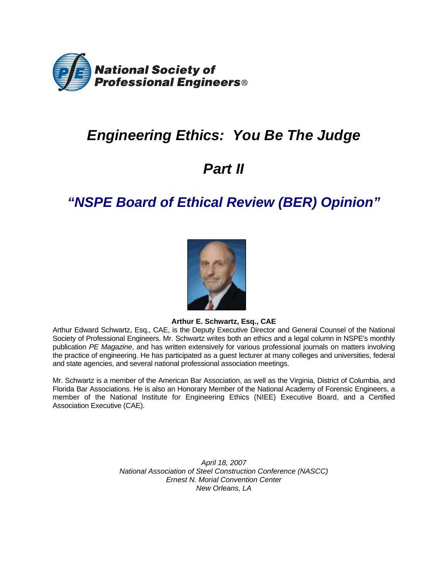

# *Engineering Ethics: You Be The Judge*

# *Part II*

# *"NSPE Board of Ethical Review (BER) Opinion"*



#### **Arthur E. Schwartz, Esq., CAE**

Arthur Edward Schwartz, Esq., CAE, is the Deputy Executive Director and General Counsel of the National Society of Professional Engineers. Mr. Schwartz writes both an ethics and a legal column in NSPE's monthly publication *PE Magazine*, and has written extensively for various professional journals on matters involving the practice of engineering. He has participated as a guest lecturer at many colleges and universities, federal and state agencies, and several national professional association meetings.

Mr. Schwartz is a member of the American Bar Association, as well as the Virginia, District of Columbia, and Florida Bar Associations. He is also an Honorary Member of the National Academy of Forensic Engineers, a member of the National Institute for Engineering Ethics (NIEE) Executive Board, and a Certified Association Executive (CAE).

> *April 18, 2007 National Association of Steel Construction Conference (NASCC) Ernest N. Morial Convention Center New Orleans, LA*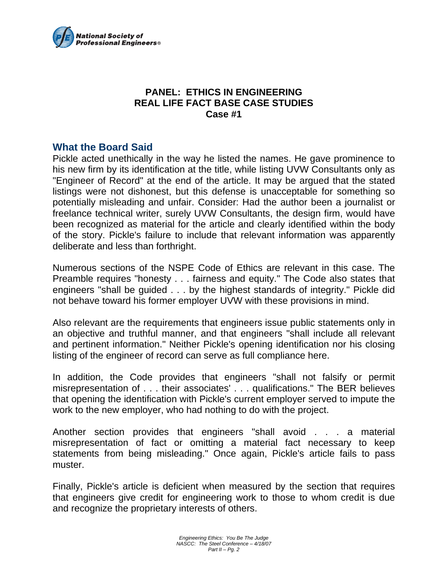

### **What the Board Said**

Pickle acted unethically in the way he listed the names. He gave prominence to his new firm by its identification at the title, while listing UVW Consultants only as "Engineer of Record" at the end of the article. It may be argued that the stated listings were not dishonest, but this defense is unacceptable for something so potentially misleading and unfair. Consider: Had the author been a journalist or freelance technical writer, surely UVW Consultants, the design firm, would have been recognized as material for the article and clearly identified within the body of the story. Pickle's failure to include that relevant information was apparently deliberate and less than forthright.

Numerous sections of the NSPE Code of Ethics are relevant in this case. The Preamble requires "honesty . . . fairness and equity." The Code also states that engineers "shall be guided . . . by the highest standards of integrity." Pickle did not behave toward his former employer UVW with these provisions in mind.

Also relevant are the requirements that engineers issue public statements only in an objective and truthful manner, and that engineers "shall include all relevant and pertinent information." Neither Pickle's opening identification nor his closing listing of the engineer of record can serve as full compliance here.

In addition, the Code provides that engineers "shall not falsify or permit misrepresentation of . . . their associates' . . . qualifications." The BER believes that opening the identification with Pickle's current employer served to impute the work to the new employer, who had nothing to do with the project.

Another section provides that engineers "shall avoid . . . a material misrepresentation of fact or omitting a material fact necessary to keep statements from being misleading." Once again, Pickle's article fails to pass muster.

Finally, Pickle's article is deficient when measured by the section that requires that engineers give credit for engineering work to those to whom credit is due and recognize the proprietary interests of others.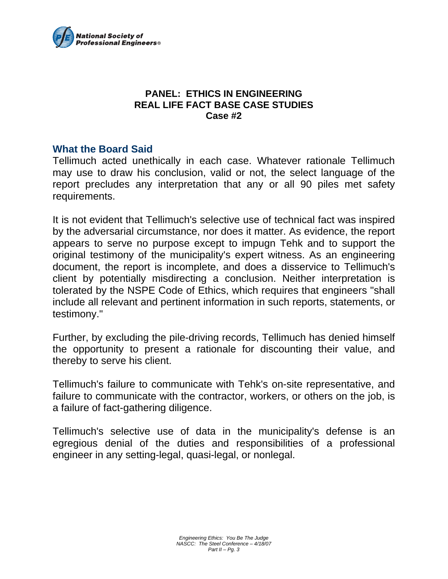

### **What the Board Said**

Tellimuch acted unethically in each case. Whatever rationale Tellimuch may use to draw his conclusion, valid or not, the select language of the report precludes any interpretation that any or all 90 piles met safety requirements.

It is not evident that Tellimuch's selective use of technical fact was inspired by the adversarial circumstance, nor does it matter. As evidence, the report appears to serve no purpose except to impugn Tehk and to support the original testimony of the municipality's expert witness. As an engineering document, the report is incomplete, and does a disservice to Tellimuch's client by potentially misdirecting a conclusion. Neither interpretation is tolerated by the NSPE Code of Ethics, which requires that engineers "shall include all relevant and pertinent information in such reports, statements, or testimony."

Further, by excluding the pile-driving records, Tellimuch has denied himself the opportunity to present a rationale for discounting their value, and thereby to serve his client.

Tellimuch's failure to communicate with Tehk's on-site representative, and failure to communicate with the contractor, workers, or others on the job, is a failure of fact-gathering diligence.

Tellimuch's selective use of data in the municipality's defense is an egregious denial of the duties and responsibilities of a professional engineer in any setting-legal, quasi-legal, or nonlegal.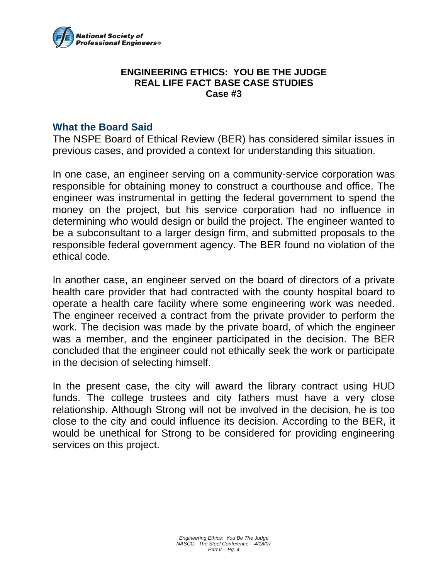

### **ENGINEERING ETHICS: YOU BE THE JUDGE REAL LIFE FACT BASE CASE STUDIES Case #3**

## **What the Board Said**

The NSPE Board of Ethical Review (BER) has considered similar issues in previous cases, and provided a context for understanding this situation.

In one case, an engineer serving on a community-service corporation was responsible for obtaining money to construct a courthouse and office. The engineer was instrumental in getting the federal government to spend the money on the project, but his service corporation had no influence in determining who would design or build the project. The engineer wanted to be a subconsultant to a larger design firm, and submitted proposals to the responsible federal government agency. The BER found no violation of the ethical code.

In another case, an engineer served on the board of directors of a private health care provider that had contracted with the county hospital board to operate a health care facility where some engineering work was needed. The engineer received a contract from the private provider to perform the work. The decision was made by the private board, of which the engineer was a member, and the engineer participated in the decision. The BER concluded that the engineer could not ethically seek the work or participate in the decision of selecting himself.

In the present case, the city will award the library contract using HUD funds. The college trustees and city fathers must have a very close relationship. Although Strong will not be involved in the decision, he is too close to the city and could influence its decision. According to the BER, it would be unethical for Strong to be considered for providing engineering services on this project.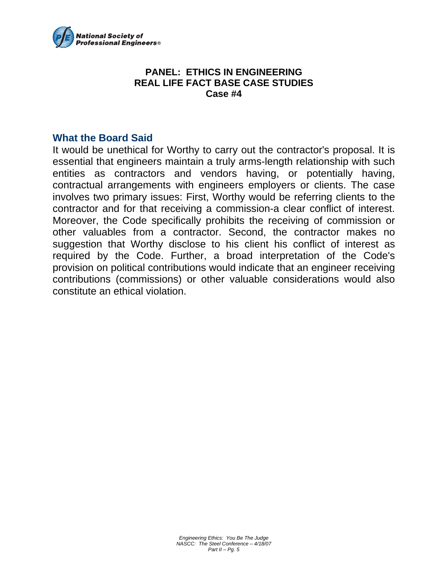

## **What the Board Said**

It would be unethical for Worthy to carry out the contractor's proposal. It is essential that engineers maintain a truly arms-length relationship with such entities as contractors and vendors having, or potentially having, contractual arrangements with engineers employers or clients. The case involves two primary issues: First, Worthy would be referring clients to the contractor and for that receiving a commission-a clear conflict of interest. Moreover, the Code specifically prohibits the receiving of commission or other valuables from a contractor. Second, the contractor makes no suggestion that Worthy disclose to his client his conflict of interest as required by the Code. Further, a broad interpretation of the Code's provision on political contributions would indicate that an engineer receiving contributions (commissions) or other valuable considerations would also constitute an ethical violation.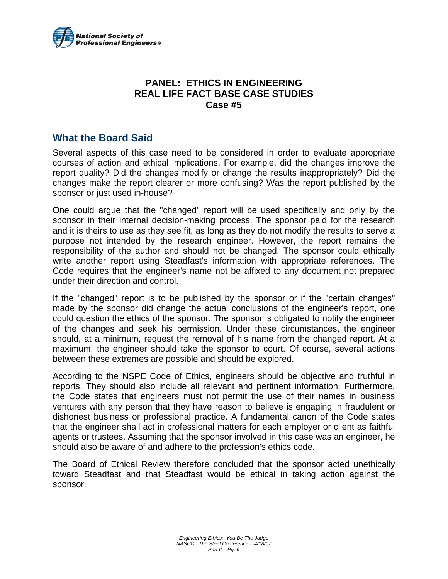

### **What the Board Said**

Several aspects of this case need to be considered in order to evaluate appropriate courses of action and ethical implications. For example, did the changes improve the report quality? Did the changes modify or change the results inappropriately? Did the changes make the report clearer or more confusing? Was the report published by the sponsor or just used in-house?

One could argue that the "changed" report will be used specifically and only by the sponsor in their internal decision-making process. The sponsor paid for the research and it is theirs to use as they see fit, as long as they do not modify the results to serve a purpose not intended by the research engineer. However, the report remains the responsibility of the author and should not be changed. The sponsor could ethically write another report using Steadfast's information with appropriate references. The Code requires that the engineer's name not be affixed to any document not prepared under their direction and control.

If the "changed" report is to be published by the sponsor or if the "certain changes" made by the sponsor did change the actual conclusions of the engineer's report, one could question the ethics of the sponsor. The sponsor is obligated to notify the engineer of the changes and seek his permission. Under these circumstances, the engineer should, at a minimum, request the removal of his name from the changed report. At a maximum, the engineer should take the sponsor to court. Of course, several actions between these extremes are possible and should be explored.

According to the NSPE Code of Ethics, engineers should be objective and truthful in reports. They should also include all relevant and pertinent information. Furthermore, the Code states that engineers must not permit the use of their names in business ventures with any person that they have reason to believe is engaging in fraudulent or dishonest business or professional practice. A fundamental canon of the Code states that the engineer shall act in professional matters for each employer or client as faithful agents or trustees. Assuming that the sponsor involved in this case was an engineer, he should also be aware of and adhere to the profession's ethics code.

The Board of Ethical Review therefore concluded that the sponsor acted unethically toward Steadfast and that Steadfast would be ethical in taking action against the sponsor.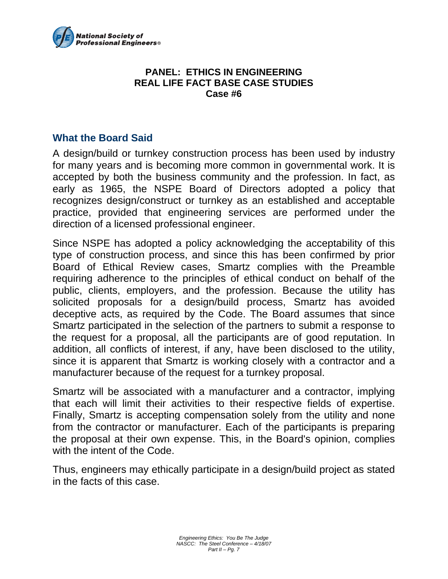

# **What the Board Said**

A design/build or turnkey construction process has been used by industry for many years and is becoming more common in governmental work. It is accepted by both the business community and the profession. In fact, as early as 1965, the NSPE Board of Directors adopted a policy that recognizes design/construct or turnkey as an established and acceptable practice, provided that engineering services are performed under the direction of a licensed professional engineer.

Since NSPE has adopted a policy acknowledging the acceptability of this type of construction process, and since this has been confirmed by prior Board of Ethical Review cases, Smartz complies with the Preamble requiring adherence to the principles of ethical conduct on behalf of the public, clients, employers, and the profession. Because the utility has solicited proposals for a design/build process, Smartz has avoided deceptive acts, as required by the Code. The Board assumes that since Smartz participated in the selection of the partners to submit a response to the request for a proposal, all the participants are of good reputation. In addition, all conflicts of interest, if any, have been disclosed to the utility, since it is apparent that Smartz is working closely with a contractor and a manufacturer because of the request for a turnkey proposal.

Smartz will be associated with a manufacturer and a contractor, implying that each will limit their activities to their respective fields of expertise. Finally, Smartz is accepting compensation solely from the utility and none from the contractor or manufacturer. Each of the participants is preparing the proposal at their own expense. This, in the Board's opinion, complies with the intent of the Code.

Thus, engineers may ethically participate in a design/build project as stated in the facts of this case.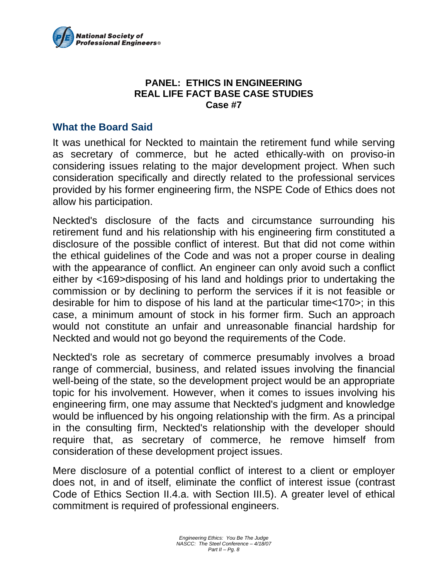

## **What the Board Said**

It was unethical for Neckted to maintain the retirement fund while serving as secretary of commerce, but he acted ethically-with on proviso-in considering issues relating to the major development project. When such consideration specifically and directly related to the professional services provided by his former engineering firm, the NSPE Code of Ethics does not allow his participation.

Neckted's disclosure of the facts and circumstance surrounding his retirement fund and his relationship with his engineering firm constituted a disclosure of the possible conflict of interest. But that did not come within the ethical guidelines of the Code and was not a proper course in dealing with the appearance of conflict. An engineer can only avoid such a conflict either by <169>disposing of his land and holdings prior to undertaking the commission or by declining to perform the services if it is not feasible or desirable for him to dispose of his land at the particular time<170>; in this case, a minimum amount of stock in his former firm. Such an approach would not constitute an unfair and unreasonable financial hardship for Neckted and would not go beyond the requirements of the Code.

Neckted's role as secretary of commerce presumably involves a broad range of commercial, business, and related issues involving the financial well-being of the state, so the development project would be an appropriate topic for his involvement. However, when it comes to issues involving his engineering firm, one may assume that Neckted's judgment and knowledge would be influenced by his ongoing relationship with the firm. As a principal in the consulting firm, Neckted's relationship with the developer should require that, as secretary of commerce, he remove himself from consideration of these development project issues.

Mere disclosure of a potential conflict of interest to a client or employer does not, in and of itself, eliminate the conflict of interest issue (contrast Code of Ethics Section II.4.a. with Section III.5). A greater level of ethical commitment is required of professional engineers.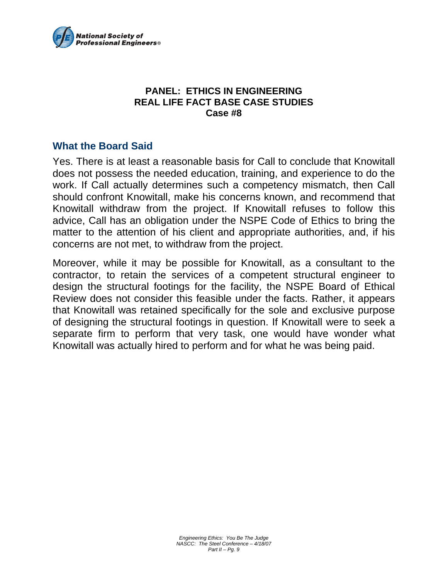

### **What the Board Said**

Yes. There is at least a reasonable basis for Call to conclude that Knowitall does not possess the needed education, training, and experience to do the work. If Call actually determines such a competency mismatch, then Call should confront Knowitall, make his concerns known, and recommend that Knowitall withdraw from the project. If Knowitall refuses to follow this advice, Call has an obligation under the NSPE Code of Ethics to bring the matter to the attention of his client and appropriate authorities, and, if his concerns are not met, to withdraw from the project.

Moreover, while it may be possible for Knowitall, as a consultant to the contractor, to retain the services of a competent structural engineer to design the structural footings for the facility, the NSPE Board of Ethical Review does not consider this feasible under the facts. Rather, it appears that Knowitall was retained specifically for the sole and exclusive purpose of designing the structural footings in question. If Knowitall were to seek a separate firm to perform that very task, one would have wonder what Knowitall was actually hired to perform and for what he was being paid.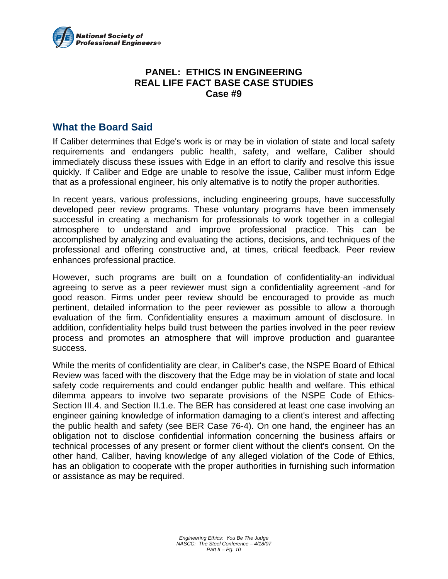

### **What the Board Said**

If Caliber determines that Edge's work is or may be in violation of state and local safety requirements and endangers public health, safety, and welfare, Caliber should immediately discuss these issues with Edge in an effort to clarify and resolve this issue quickly. If Caliber and Edge are unable to resolve the issue, Caliber must inform Edge that as a professional engineer, his only alternative is to notify the proper authorities.

In recent years, various professions, including engineering groups, have successfully developed peer review programs. These voluntary programs have been immensely successful in creating a mechanism for professionals to work together in a collegial atmosphere to understand and improve professional practice. This can be accomplished by analyzing and evaluating the actions, decisions, and techniques of the professional and offering constructive and, at times, critical feedback. Peer review enhances professional practice.

However, such programs are built on a foundation of confidentiality-an individual agreeing to serve as a peer reviewer must sign a confidentiality agreement -and for good reason. Firms under peer review should be encouraged to provide as much pertinent, detailed information to the peer reviewer as possible to allow a thorough evaluation of the firm. Confidentiality ensures a maximum amount of disclosure. In addition, confidentiality helps build trust between the parties involved in the peer review process and promotes an atmosphere that will improve production and guarantee success.

While the merits of confidentiality are clear, in Caliber's case, the NSPE Board of Ethical Review was faced with the discovery that the Edge may be in violation of state and local safety code requirements and could endanger public health and welfare. This ethical dilemma appears to involve two separate provisions of the NSPE Code of Ethics-Section III.4. and Section II.1.e. The BER has considered at least one case involving an engineer gaining knowledge of information damaging to a client's interest and affecting the public health and safety (see BER Case 76-4). On one hand, the engineer has an obligation not to disclose confidential information concerning the business affairs or technical processes of any present or former client without the client's consent. On the other hand, Caliber, having knowledge of any alleged violation of the Code of Ethics, has an obligation to cooperate with the proper authorities in furnishing such information or assistance as may be required.